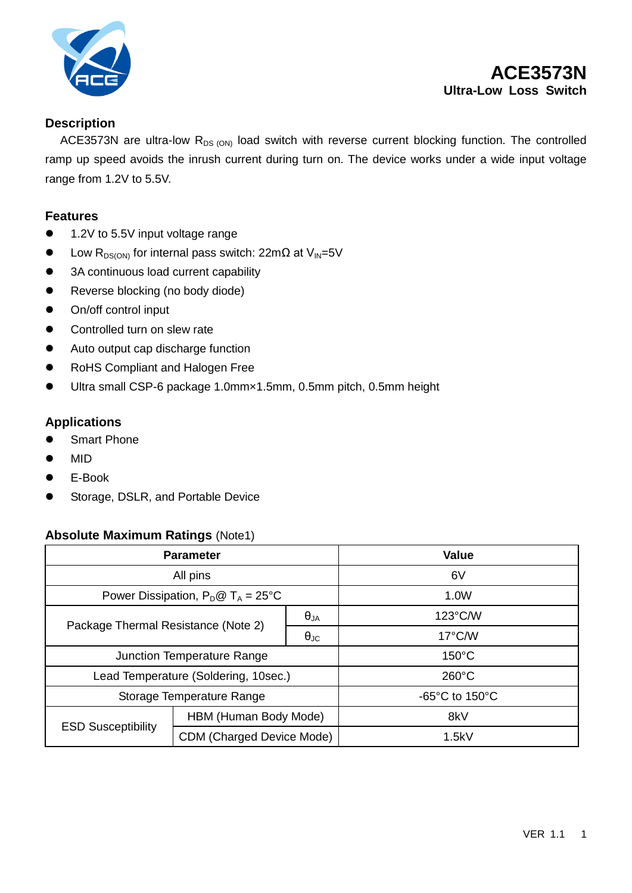

## **Description**

ACE3573N are ultra-low  $R_{DS (ON)}$  load switch with reverse current blocking function. The controlled ramp up speed avoids the inrush current during turn on. The device works under a wide input voltage range from 1.2V to 5.5V.

#### **Features**

- 1.2V to 5.5V input voltage range
- $\bullet$  Low R<sub>DS(ON)</sub> for internal pass switch: 22mΩ at V<sub>IN</sub>=5V
- 3A continuous load current capability
- Reverse blocking (no body diode)
- On/off control input
- Controlled turn on slew rate
- Auto output cap discharge function
- RoHS Compliant and Halogen Free
- Ultra small CSP-6 package 1.0mm×1.5mm, 0.5mm pitch, 0.5mm height

### **Applications**

- Smart Phone
- $\bullet$  MID
- E-Book
- Storage, DSLR, and Portable Device

#### **Absolute Maximum Ratings** (Note1)

| <b>Parameter</b>                             |                           |                      | <b>Value</b>                         |
|----------------------------------------------|---------------------------|----------------------|--------------------------------------|
| All pins                                     |                           |                      | 6V                                   |
| Power Dissipation, $P_D @ T_A = 25^{\circ}C$ |                           |                      | 1.0W                                 |
| Package Thermal Resistance (Note 2)          |                           | $\theta_{JA}$        | $123^{\circ}$ C/W                    |
|                                              |                           | $\Theta_{\text{JC}}$ | $17^{\circ}$ C/W                     |
| Junction Temperature Range                   |                           |                      | $150^{\circ}$ C                      |
| Lead Temperature (Soldering, 10sec.)         |                           |                      | $260^{\circ}$ C                      |
| Storage Temperature Range                    |                           |                      | -65 $^{\circ}$ C to 150 $^{\circ}$ C |
| <b>ESD Susceptibility</b>                    | HBM (Human Body Mode)     |                      | 8kV                                  |
|                                              | CDM (Charged Device Mode) |                      | 1.5kV                                |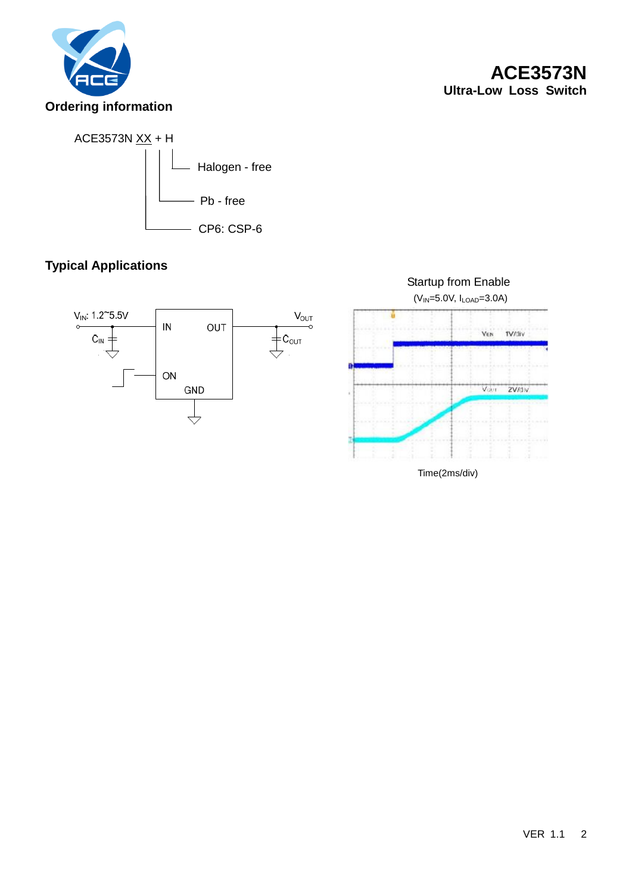



# **Typical Applications**